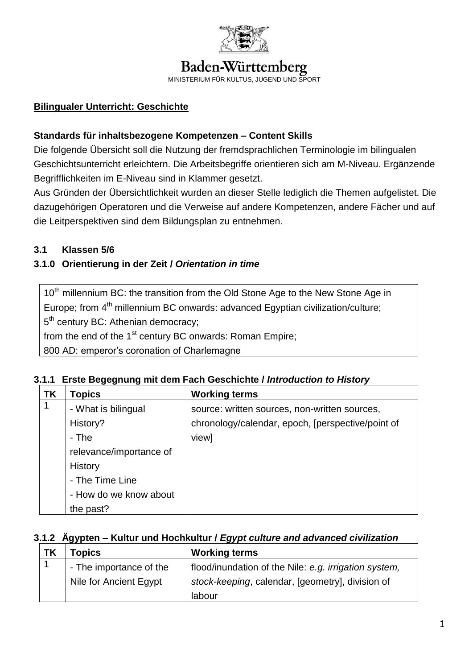

# Baden-Württemberg

MINISTERIUM FÜR KULTUS, JUGEND UND SPORT

## **Bilingualer Unterricht: Geschichte**

#### **Standards für inhaltsbezogene Kompetenzen – Content Skills**

Die folgende Übersicht soll die Nutzung der fremdsprachlichen Terminologie im bilingualen Geschichtsunterricht erleichtern. Die Arbeitsbegriffe orientieren sich am M-Niveau. Ergänzende Begrifflichkeiten im E-Niveau sind in Klammer gesetzt.

Aus Gründen der Übersichtlichkeit wurden an dieser Stelle lediglich die Themen aufgelistet. Die dazugehörigen Operatoren und die Verweise auf andere Kompetenzen, andere Fächer und auf die Leitperspektiven sind dem Bildungsplan zu entnehmen.

### **3.1 Klassen 5/6**

### **3.1.0 Orientierung in der Zeit /** *Orientation in time*

10<sup>th</sup> millennium BC: the transition from the Old Stone Age to the New Stone Age in Europe; from 4<sup>th</sup> millennium BC onwards: advanced Egyptian civilization/culture; 5<sup>th</sup> century BC: Athenian democracy;

from the end of the  $1<sup>st</sup>$  century BC onwards: Roman Empire;

800 AD: emperor's coronation of Charlemagne

| ΤK | <b>Topics</b>           | <b>Working terms</b>                              |
|----|-------------------------|---------------------------------------------------|
| 1  | - What is bilingual     | source: written sources, non-written sources,     |
|    | History?                | chronology/calendar, epoch, [perspective/point of |
|    | - The                   | view]                                             |
|    | relevance/importance of |                                                   |
|    | History                 |                                                   |
|    | - The Time Line         |                                                   |
|    | - How do we know about  |                                                   |
|    | the past?               |                                                   |

#### **3.1.1 Erste Begegnung mit dem Fach Geschichte /** *Introduction to History*

#### **3.1.2 Ägypten – Kultur und Hochkultur /** *Egypt culture and advanced civilization*

| <b>TK</b> | <b>c</b> opics          | <b>Working terms</b>                                  |
|-----------|-------------------------|-------------------------------------------------------|
|           | - The importance of the | flood/inundation of the Nile: e.g. irrigation system, |
|           | Nile for Ancient Egypt  | stock-keeping, calendar, [geometry], division of      |
|           |                         | labour                                                |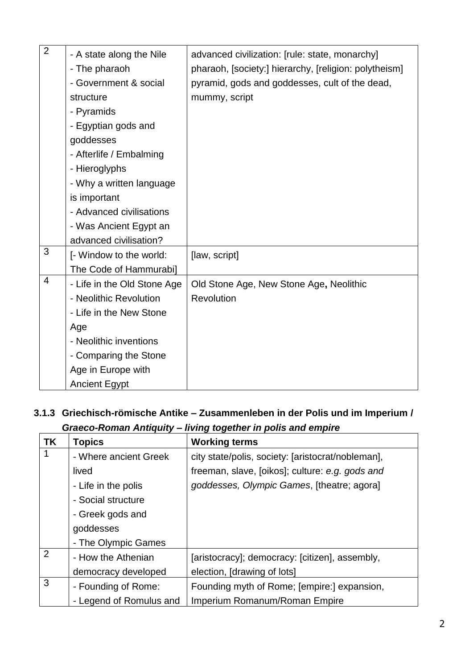| $\overline{2}$ | - A state along the Nile    | advanced civilization: [rule: state, monarchy]        |
|----------------|-----------------------------|-------------------------------------------------------|
|                | - The pharaoh               | pharaoh, [society:] hierarchy, [religion: polytheism] |
|                | - Government & social       | pyramid, gods and goddesses, cult of the dead,        |
|                | structure                   | mummy, script                                         |
|                | - Pyramids                  |                                                       |
|                | - Egyptian gods and         |                                                       |
|                | goddesses                   |                                                       |
|                | - Afterlife / Embalming     |                                                       |
|                | - Hieroglyphs               |                                                       |
|                | - Why a written language    |                                                       |
|                | is important                |                                                       |
|                | - Advanced civilisations    |                                                       |
|                | - Was Ancient Egypt an      |                                                       |
|                | advanced civilisation?      |                                                       |
| 3              | [- Window to the world:     | [law, script]                                         |
|                | The Code of Hammurabi]      |                                                       |
| $\overline{4}$ | - Life in the Old Stone Age | Old Stone Age, New Stone Age, Neolithic               |
|                | - Neolithic Revolution      | Revolution                                            |
|                | - Life in the New Stone     |                                                       |
|                | Age                         |                                                       |
|                | - Neolithic inventions      |                                                       |
|                | - Comparing the Stone       |                                                       |
|                | Age in Europe with          |                                                       |
|                | <b>Ancient Egypt</b>        |                                                       |

# **3.1.3 Griechisch-römische Antike – Zusammenleben in der Polis und im Imperium /**  *Graeco-Roman Antiquity – living together in polis and empire*

| <b>TK</b>      | <b>Topics</b>           | <b>Working terms</b>                              |
|----------------|-------------------------|---------------------------------------------------|
|                | - Where ancient Greek   | city state/polis, society: [aristocrat/nobleman], |
|                | lived                   | freeman, slave, [oikos]; culture: e.g. gods and   |
|                | - Life in the polis     | goddesses, Olympic Games, [theatre; agora]        |
|                | - Social structure      |                                                   |
|                | - Greek gods and        |                                                   |
|                | goddesses               |                                                   |
|                | - The Olympic Games     |                                                   |
| $\overline{2}$ | - How the Athenian      | [aristocracy]; democracy: [citizen], assembly,    |
|                | democracy developed     | election, [drawing of lots]                       |
| 3              | - Founding of Rome:     | Founding myth of Rome; [empire:] expansion,       |
|                | - Legend of Romulus and | Imperium Romanum/Roman Empire                     |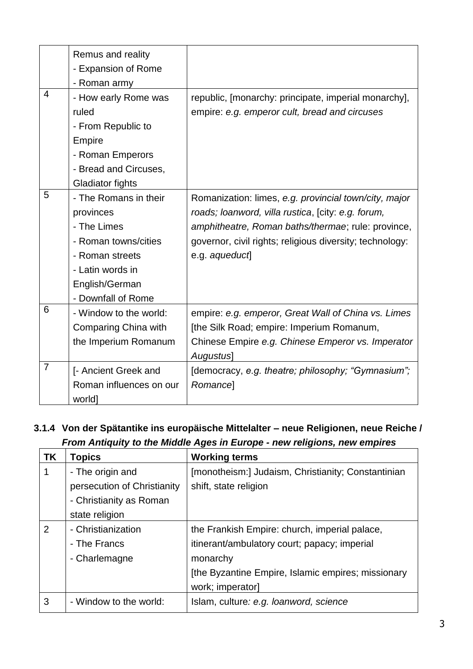|                | Remus and reality       |                                                          |
|----------------|-------------------------|----------------------------------------------------------|
|                | - Expansion of Rome     |                                                          |
|                | - Roman army            |                                                          |
| $\overline{4}$ | - How early Rome was    | republic, [monarchy: principate, imperial monarchy],     |
|                | ruled                   | empire: e.g. emperor cult, bread and circuses            |
|                | - From Republic to      |                                                          |
|                | Empire                  |                                                          |
|                | - Roman Emperors        |                                                          |
|                | - Bread and Circuses,   |                                                          |
|                | <b>Gladiator fights</b> |                                                          |
| 5              | - The Romans in their   | Romanization: limes, e.g. provincial town/city, major    |
|                | provinces               | roads; loanword, villa rustica, [city: e.g. forum,       |
|                | - The Limes             | amphitheatre, Roman baths/thermae; rule: province,       |
|                | - Roman towns/cities    | governor, civil rights; religious diversity; technology: |
|                | - Roman streets         | e.g. aqueduct                                            |
|                | - Latin words in        |                                                          |
|                | English/German          |                                                          |
|                | - Downfall of Rome      |                                                          |
| 6              | - Window to the world:  | empire: e.g. emperor, Great Wall of China vs. Limes      |
|                | Comparing China with    | [the Silk Road; empire: Imperium Romanum,                |
|                | the Imperium Romanum    | Chinese Empire e.g. Chinese Emperor vs. Imperator        |
|                |                         | Augustus]                                                |
| $\overline{7}$ | [- Ancient Greek and    | [democracy, e.g. theatre; philosophy; "Gymnasium";       |
|                | Roman influences on our | <b>Romancel</b>                                          |
|                | world]                  |                                                          |

## **3.1.4 Von der Spätantike ins europäische Mittelalter – neue Religionen, neue Reiche /**  *From Antiquity to the Middle Ages in Europe - new religions, new empires*

| <b>TK</b> | Topics                      | <b>Working terms</b>                               |
|-----------|-----------------------------|----------------------------------------------------|
|           | - The origin and            | [monotheism:] Judaism, Christianity; Constantinian |
|           | persecution of Christianity | shift, state religion                              |
|           | - Christianity as Roman     |                                                    |
|           | state religion              |                                                    |
| 2         | - Christianization          | the Frankish Empire: church, imperial palace,      |
|           | - The Francs                | itinerant/ambulatory court; papacy; imperial       |
|           | - Charlemagne               | monarchy                                           |
|           |                             | [the Byzantine Empire, Islamic empires; missionary |
|           |                             | work; imperator]                                   |
| 3         | - Window to the world:      | Islam, culture: e.g. loanword, science             |